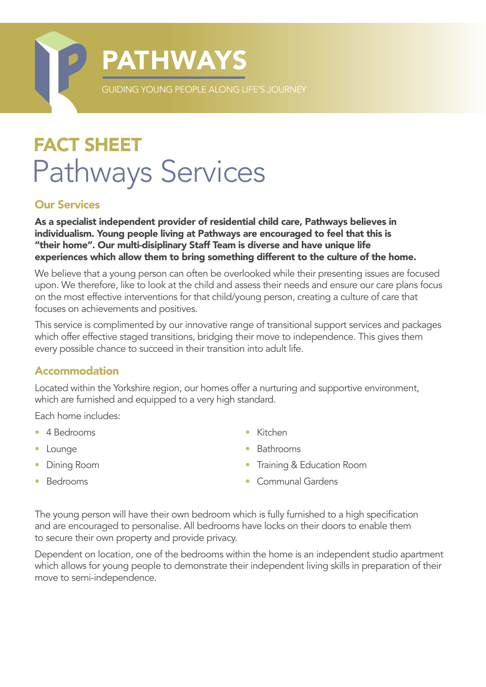

# FACT SHEET Pathways Services

#### Our Services

As a specialist independent provider of residential child care, Pathways believes in individualism. Young people living at Pathways are encouraged to feel that this is "their home". Our multi-disiplinary Staff Team is diverse and have unique life experiences which allow them to bring something different to the culture of the home.

We believe that a young person can often be overlooked while their presenting issues are focused upon. We therefore, like to look at the child and assess their needs and ensure our care plans focus on the most effective interventions for that child/young person, creating a culture of care that focuses on achievements and positives.

This service is complimented by our innovative range of transitional support services and packages which offer effective staged transitions, bridging their move to independence. This gives them every possible chance to succeed in their transition into adult life.

#### Accommodation

Located within the Yorkshire region, our homes offer a nurturing and supportive environment, which are furnished and equipped to a very high standard.

Each home includes:

- 4 Bedrooms
- Lounge
- Dining Room
- Kitchen
- Bathrooms
- Training & Education Room

• Bedrooms

• Communal Gardens

The young person will have their own bedroom which is fully furnished to a high specification and are encouraged to personalise. All bedrooms have locks on their doors to enable them to secure their own property and provide privacy.

Dependent on location, one of the bedrooms within the home is an independent studio apartment which allows for young people to demonstrate their independent living skills in preparation of their move to semi-independence.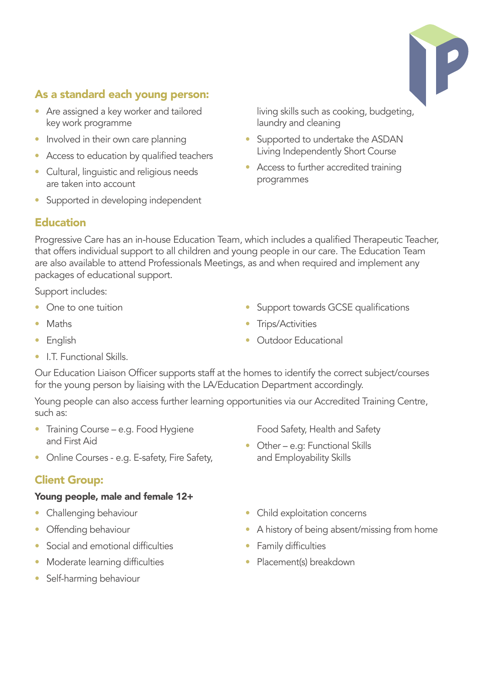

# As a standard each young person:

- Are assigned a key worker and tailored key work programme
- Involved in their own care planning
- Access to education by qualified teachers
- Cultural, linguistic and religious needs are taken into account
- Supported in developing independent

living skills such as cooking, budgeting, laundry and cleaning

- Supported to undertake the ASDAN Living Independently Short Course
- Access to further accredited training programmes

### Education

Progressive Care has an in-house Education Team, which includes a qualified Therapeutic Teacher, that offers individual support to all children and young people in our care. The Education Team are also available to attend Professionals Meetings, as and when required and implement any packages of educational support.

Support includes:

- One to one tuition
- Maths
- English
- I.T. Functional Skills.

Our Education Liaison Officer supports staff at the homes to identify the correct subject/courses for the young person by liaising with the LA/Education Department accordingly.

Young people can also access further learning opportunities via our Accredited Training Centre, such as:

- Training Course e.g. Food Hygiene and First Aid
- Online Courses e.g. E-safety, Fire Safety,

## Client Group:

#### Young people, male and female 12+

- Challenging behaviour
- Offending behaviour
- Social and emotional difficulties
- Moderate learning difficulties
- Self-harming behaviour
- Support towards GCSE qualifications
- Trips/Activities
- Outdoor Educational

• Child exploitation concerns

Food Safety, Health and Safety

• Other – e.g: Functional Skills and Employability Skills

- A history of being absent/missing from home
- Family difficulties
- Placement(s) breakdown